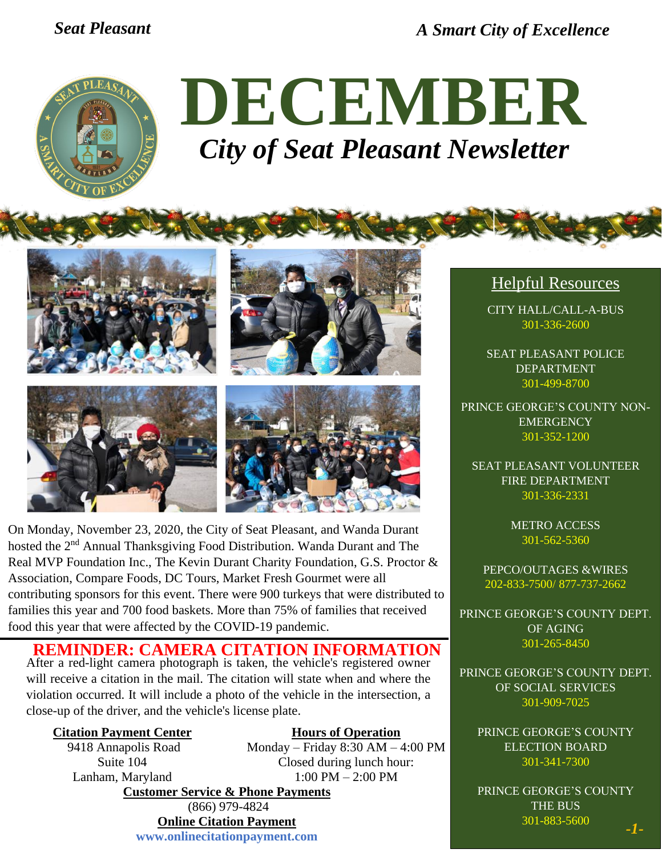*Seat Pleasant A Smart City of Excellence*



# **DECEMBER** *City of Seat Pleasant Newsletter*



On Monday, November 23, 2020, the City of Seat Pleasant, and Wanda Durant hosted the 2<sup>nd</sup> Annual Thanksgiving Food Distribution. Wanda Durant and The Real MVP Foundation Inc., The Kevin Durant Charity Foundation, G.S. Proctor & Association, Compare Foods, DC Tours, Market Fresh Gourmet were all contributing sponsors for this event. There were 900 turkeys that were distributed to families this year and 700 food baskets. More than 75% of families that received food this year that were affected by the COVID-19 pandemic.

**REMINDER: CAMERA CITATION INFORMATION**

After a red-light camera photograph is taken, the vehicle's registered owner will receive a citation in the mail. The citation will state when and where the violation occurred. It will include a photo of the vehicle in the intersection, a close-up of the driver, and the vehicle's license plate.

#### **Citation Payment Center**

9418 Annapolis Road Suite 104 Lanham, Maryland

**Hours of Operation** Monday – Friday 8:30 AM – 4:00 PM

Closed during lunch hour: 1:00 PM – 2:00 PM **Customer Service & Phone Payments**  (866) 979-4824

### **Online Citation Payment**

**www.onlinecitationpayment.com**

#### Helpful Resources

CITY HALL/CALL-A-BUS 301-336-2600

SEAT PLEASANT POLICE DEPARTMENT 301-499-8700

PRINCE GEORGE'S COUNTY NON-**EMERGENCY** 301-352-1200

SEAT PLEASANT VOLUNTEER FIRE DEPARTMENT 301-336-2331

> METRO ACCESS 301-562-5360

PEPCO/OUTAGES &WIRES 202-833-7500/ 877-737-2662

PRINCE GEORGE'S COUNTY DEPT. OF AGING 301-265-8450

PRINCE GEORGE'S COUNTY DEPT. OF SOCIAL SERVICES 301-909-7025

PRINCE GEORGE'S COUNTY ELECTION BOARD 301-341-7300

PRINCE GEORGE'S COUNTY THE BUS 301-883-5600 *-1-*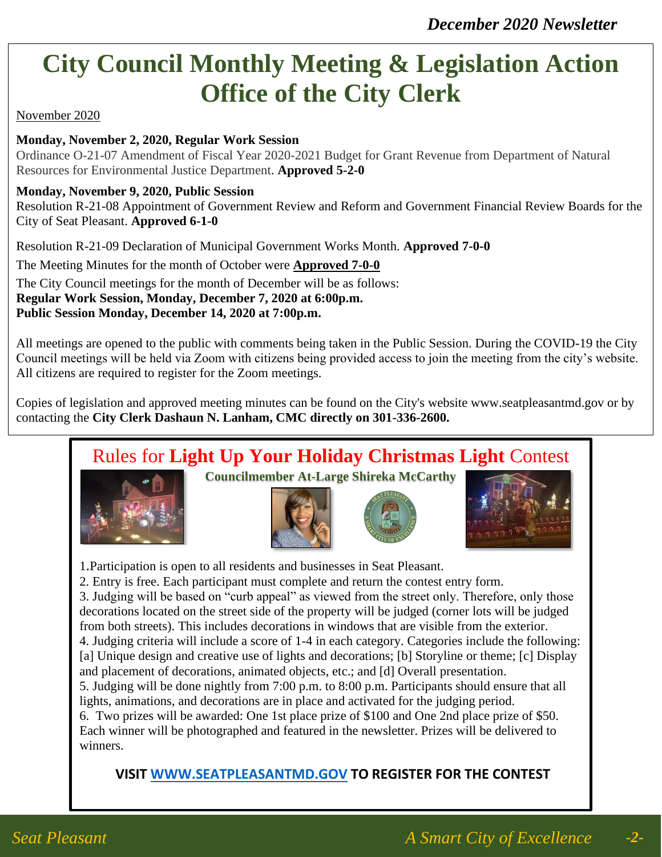## **City Council Monthly Meeting & Legislation Action Office of the City Clerk**

#### November 2020

#### **Monday, November 2, 2020, Regular Work Session**

Ordinance O-21-07 Amendment of Fiscal Year 2020-2021 Budget for Grant Revenue from Department of Natural Resources for Environmental Justice Department. **Approved 5-2-0** 

#### **Monday, November 9, 2020, Public Session**

Resolution R-21-08 Appointment of Government Review and Reform and Government Financial Review Boards for the City of Seat Pleasant. **Approved 6-1-0**

Resolution R-21-09 Declaration of Municipal Government Works Month. **Approved 7-0-0**

The Meeting Minutes for the month of October were **Approved 7-0-0**

The City Council meetings for the month of December will be as follows:

**Regular Work Session, Monday, December 7, 2020 at 6:00p.m.**

#### **Public Session Monday, December 14, 2020 at 7:00p.m.**

All meetings are opened to the public with comments being taken in the Public Session. During the COVID-19 the City Council meetings will be held via Zoom with citizens being provided access to join the meeting from the city's website. All citizens are required to register for the Zoom meetings.

Copies of legislation and approved meeting minutes can be found on the City's website www.seatpleasantmd.gov or by contacting the **City Clerk Dashaun N. Lanham, CMC directly on 301-336-2600.** 

### Rules for **Light Up Your Holiday Christmas Light** Contest



**Councilmember At-Large Shireka McCarthy**





1.Participation is open to all residents and businesses in Seat Pleasant.

2. Entry is free. Each participant must complete and return the contest entry form.

3. Judging will be based on "curb appeal" as viewed from the street only. Therefore, only those decorations located on the street side of the property will be judged (corner lots will be judged from both streets). This includes decorations in windows that are visible from the exterior.

4. Judging criteria will include a score of 1-4 in each category. Categories include the following: [a] Unique design and creative use of lights and decorations; [b] Storyline or theme; [c] Display and placement of decorations, animated objects, etc.; and [d] Overall presentation.

5. Judging will be done nightly from 7:00 p.m. to 8:00 p.m. Participants should ensure that all lights, animations, and decorations are in place and activated for the judging period.

6. Two prizes will be awarded: One 1st place prize of \$100 and One 2nd place prize of \$50. Each winner will be photographed and featured in the newsletter. Prizes will be delivered to winners.

**VISIT [WWW.SEATPLEASANTMD.GOV](http://www.seatpleasantmd.gov/) TO REGISTER FOR THE CONTEST**

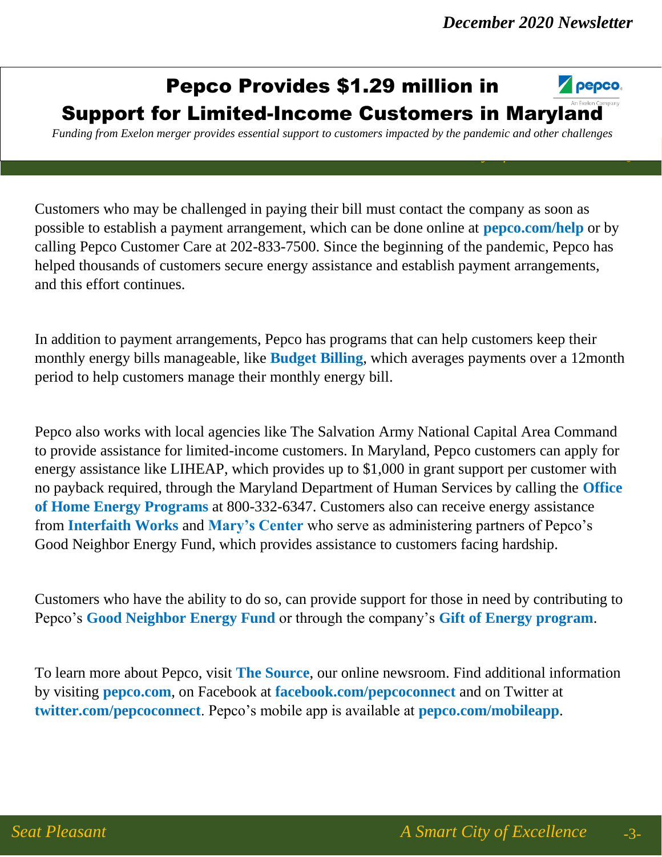### Pepco Provides \$1.29 million in



### Support for Limited-Income Customers in Maryland

*Funding from Exelon merger provides essential support to customers impacted by the pandemic and other challenges*

*Seat Pleasant A Smart City of Excellence* -6-

Customers who may be challenged in paying their bill must contact the company as soon as possible to establish a payment arrangement, which can be done online at **pepco.com/help** or by calling Pepco Customer Care at 202-833-7500. Since the beginning of the pandemic, Pepco has helped thousands of customers secure energy assistance and establish payment arrangements, and this effort continues.

In addition to payment arrangements, Pepco has programs that can help customers keep their monthly energy bills manageable, like **Budget Billing**, which averages payments over a 12month period to help customers manage their monthly energy bill.

Pepco also works with local agencies like The Salvation Army National Capital Area Command to provide assistance for limited-income customers. In Maryland, Pepco customers can apply for energy assistance like LIHEAP, which provides up to \$1,000 in grant support per customer with no payback required, through the Maryland Department of Human Services by calling the **Office of Home Energy Programs** at 800-332-6347. Customers also can receive energy assistance from **Interfaith Works** and **Mary's Center** who serve as administering partners of Pepco's Good Neighbor Energy Fund, which provides assistance to customers facing hardship.

Customers who have the ability to do so, can provide support for those in need by contributing to Pepco's **Good Neighbor Energy Fund** or through the company's **Gift of Energy program**.

To learn more about Pepco, visit **The Source**, our online newsroom. Find additional information by visiting **pepco.com**, on Facebook at **facebook.com/pepcoconnect** and on Twitter at **twitter.com/pepcoconnect**. Pepco's mobile app is available at **pepco.com/mobileapp**.